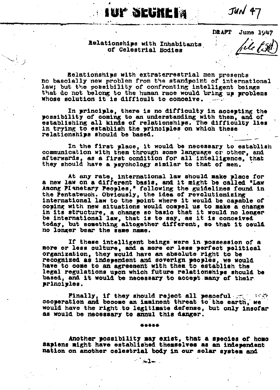$J<sub>4</sub>$  $/47$ 

**DRAFT June 1947** 

*File OSRD* 

## **Relationships with Inhabitants of Celestial Bodies**

**Aup Seckel**y

**Relationships with extraterrestrial men presents no basically new problem from the standpoint of international law; but the possibility of confronting intelligent beings that do not belong to the human race would bring up problems whose solution it is difficult to conceive.** 

**In principle, there is no difficulty in accepting the possibility of coming to an understanding with them, and of establishing all kinds of relationships. The difficulty lies in trying to establish the principles on which these relationships should be based.** 

**In the first place, it would be necessary to establish communication with them through some language or other, and afterwards, as a first condition for all intelligence, that they should have a psychology similar to that of men.** 

**At any rate, international law should make place for a new law on a different basis, and it might be called "Law Among Planetary Peoples," following the guidelines found in the Pentateuch. Obviously, the idea of revolutionizing international law to the point where it would be capable of coping with new situations would compel us to make a change in its structure, a change so basic that it would no longer be international law, that is to say, as it is conceived today, but something altogether different, so that it could no longer bear the same name.** 

**If these intelligent beings were in possession of a more or less culture, and a more or less perfect political organization, they would have an absolute right to be**  recognized as independent and soverign peoples, we would **have to come to an agreement with them to establish the legal regulations upon which future relationships should be based, and it would be necessary to accept many of their principles.** 

**Finally, if they should reject all peaceful cooperation and become an imminent threat to the earth, we would have the right to legitimate defense, but only insofar as would be necessary to annul this danger.** 

#### \*\*\*\*\*

**Another possibility may exist, that a species of homo sapiens might have established themselves as an independent nation on another celestial body in our solar system and** 

 $\sim$   $\leq$  1.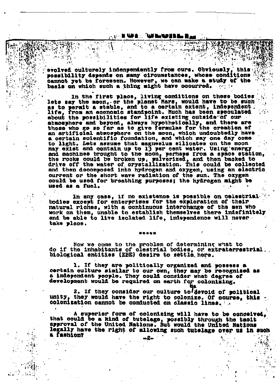### TOP SECRET **AN UNIVERSITY**

**- 光磁光体路** 

**evolved culturely independently from ours. Obviously, this possibility depends on many circumstances, whose conditions cannot yet be foreseen. However, we can make a study of the basis on which such a thing might have occurred,** 

. **In the first place, living conditions on these bodies lets say the moon,-or the planet Mars, would have to be such as to permit a stable, and to a certain extent, independent life, from an economic standpoint. Much has been speculated about the possibilities for life existing outside of our atmosphere and beyond, always hypothetically. and there are those who** *mo* **so far as to give formulas for the creation of an artificial atmosphere on the noon, which undoubtedly have a certain scientific foundation, and which may one way come**<br>In light, Lets assume that magnesium silingtes on the moon **to light. Lets assume that magnesium silicates on the moon may exist and contain up to 13 per cent water. Using energy and machines brought to the moon, perhaps from a space station, the rooks could be broken up, pulverized, and then backed to drive off the water of crystallization. This could be collected and then decomposed into hydrogen and oxygen, using an electric. current or the short wave radiation of the sun. The oxygen could be used for breathing purposes; the hydrogen night be used as a fuel.** 

In any case, if no existence is possible on celestrial. **bodies except for enterprises for the exploration of their natural riches, with a continuous interchange of the men who work on them, unable to establish themselves there indefinitely and be able to live isolated life, independence will never take place.** 

**Now we come to the problem of determining what to do if the inhabitants of celestial bodies, or extraterrestrial biological entitles (EBE) desire to settle here.** 

**1. If they are politically organised and possess a certain culture similar to our own, they may be recognized as a independent people. They could consider what degree of development would be required on earth for colonizing.** 

**2. If they consider our culture to be devoid of political unity, they would have the right to colonize. Of course, this colonization cannot be conducted on classic linos. • .«** 

**A superior form of colonizing will have to be conceived, that could be a kind of tutelage, possibly through the tacit approval of the United Nations. But would the United Nations legally have the right of allowing such tutelage over us in such a fashion?** 

**-2-**

' \* : •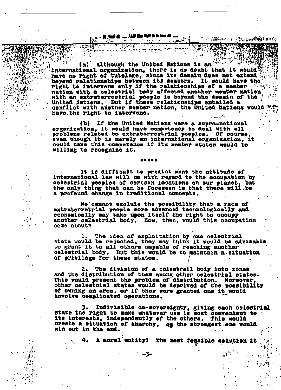#### an an **11 Màrtai<sub>r -</sub> 147 Maine an Lìne**<br>1882 - Chaidh Chuir - 147 An Lùnas أشبعه ा

. . . . . . . . .

Although the United Nations is an (a) international organization, there is no doubt that it would<sup>\$</sup> have no right of tutelage, since its domain does not extend **beyond relationships between its members. It would have the right to intervene only if the relationships of a member nation with a celestial body affected another member nation with an extraterrestrial people is beyond the domain of the United Nations, But if those relationships entailed a conflict with another member nation, the United. Nations would have the right to intervene•** 

○ A. BRAS A. LESS SANNA CHEES

**(b) If the United Nations were a supra-national organisation, it would have competency to deal with all problems related to extraterrestrial peoples. Of course, even though it is merely an international organisation, it could have this competence if itsmember states would be willing to recognize it.** 

**It is difficult to predict what the attitude of international law will bo with regard to the occupation by celestial peoples of certain locations on our planet, but the only thing that can be foreseen is that there will be a profound change in traditional concepts•** 

**We cannot exclude the possibility that a race of extraterrstrial people more advanced technologically and economically may take upon itself the right to occupy another celestial body. How, then, would this occupation come about?** 

The idea of exploitation by one celestrial **state would be rejected, they may think it would be advisable to grant it to all others capable of reaching another celestial body. But this would be to maintain a situation of privilege for these states.** 

**2. The division of a celestial body into zones and the distribution of them among other celestial states. This would present the problem of distribution. Moreover, other celestial states would be deprived of the possibility of owning an area, or if they were granted one it would involve complicated operations.** 

**3. Indivisible co-sovereignty, giving each celestial state the right to make whatever use is most convenient to. . its interests, independently of the others. This would create a situation of anarchy, as the strongest one would**  win out in the end.

**4. A moral entity? The most feasible solution it** v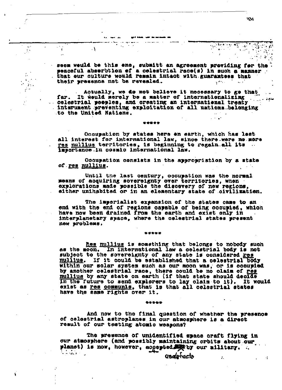**seem would be this one, submitt an agreement providing far the peaceful absorbtion of a celestial race(s) in such a manner that our culture would remain intact with guarantees that their presence not be revealed.**  gers .

**Actually, we do not believe it necessary to go that far. It would merely be a natter of internationalizing celestial peoples, and creating an international treaty intsrument preventing exploitation of all nations belonging to the United Nations.** 

**Occupation by states here on earth, which has lost all interest for international law, since there were no more res nullius territories, is beginning to regain all its importance in cosmic international law.** 

\*\*\*\*\*

 $\ddotsc$ 

 $\mathcal{G}^{\star}$ 

š.  $\sum_{i=1}^{n}x_{i}$ 

 $\mathcal{L}(\mathcal{G})$ 38

Л.

÷

 $\sim$ 

**Occupation consists in the appropriation by a state of res nullius.** 

**Until the last century, occupation was the normal means of acquiring sovereignty over territories, when explorations made possible the discovery of new regions, either unihabited or in an elementary state of civilization.** 

**The imperialist expansion of the states came to an end with the end of regions capable of being occupied, which have now been drained from the earth and exist only in interplanetary space, where the celestial states present new problems.** 

\*\*\*\*\*

**Res nullius is something that belongs to nobody such as the moon. In international law a celestial body is not subject to the sovereignty of any state is considered res nullius. If it could be established that a celestial body within our solar system such as our moon was, or is occupied by another celestial race, there could be no claim of res nullius by any state on earth (if that state should decide in the future to send explorers to lay claim to it). It would exist as res communis, that is that all celestial states have the same rights over it.** 

**And now to the final question of whether the presence of celestial astroplanes in our atmosphere is a direct result of our testing atomic weapons?** 

\*\*\*\*\*

**The presence of unidentified space craft flying in our atmosphere (and possibly maintaining orbits about our**  planet) is now, however, accepted by our military.

usdetacto

**מסכ** 

 $\mathcal{L}_{\mathbf{z}}$ 

she's logic

 $\epsilon_{\rm{tot}}$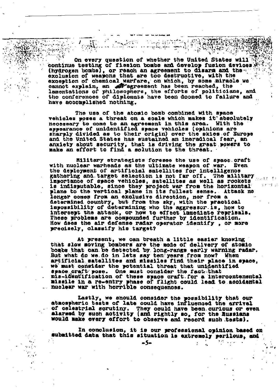**On every question of whether the United States will continue testing of fission bombs and develop fusion devices (hydrogen bombs), or reach an agreement to disarm and the exclusion of weapons that are too destructive, with the exception of chemical warfare, on which, by some miracle we cannot even an agreement has been reached.** The community of the second the second the second the second the second the second the second the second the second the second the second the second the second the second the se **lamentations of philosophers, the efforts of politicians, and the conferences of diplomats have been doomed to failure and have accomplished nothing.** 

 $\sim$  with  $\sim$ 

**The use of the atomic bomb combined with space vehicles poses a threat on a scale which makes it absolutely**  necessary to come to an agreement in this area. **appearance of unidentified space vehicles (opinions are sharply divided as to their origin) over the skies of Europe and the United States has sustained an ineradical fear, an anxiety about security, that is driving the great powers to make an effort to find a solution to the threat.** 

**Military strategists foresee the use of space craft with nuclear warheads as the ultimate weapon of war. Even the deployment of artificial satellites for intelligence gathering and. target selection is not far off. The military importance of space vehicles, satellites as well as rockets is indisputable, since they project war from the horizontal plane to the vertical plane in its fullest sense. Attack no longer comes from an exclusive direction, nor from a determined country, but from the sky, with the practical impossibility of determining who the aggressor is, how to intercept the attack, or how to effect immediate reprisals• These problems are compounded further by identification. How does the air defense radar operator identify , or more precisely, classify his target?** 

医前列腺炎

**At present, we can breath a little easier knowing that slow moving bombers are the mode of delivery of atomic bombs that can be detected by long-range early warning radar.**  But what do we do in lets say ten years from now? When **artificial satellites and missiles find their place in space, we must consider the potential threat that unidentified space craft pose. One must consider the fact that mis-identification of these space craft for a intercontenental**  missile in a re-entry phase of flight could lead to accidental

**Lastly, we should consider the possibility that our atmospheric tests of late could have influenced the arrival of celestial scrutiny. They could have been, curious or even alarmed by such activity (and rightly so, for the Russians**  would make every effort to observe and record such tests).

**In conclusion, it is our professional opinion based on**  submitted data that this situation is extremely perilous, and